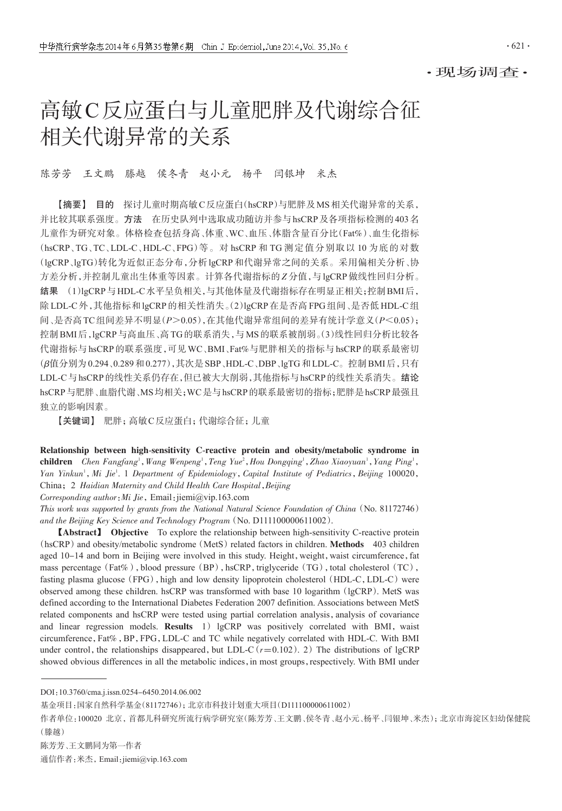·现场调查·

# 高敏C反应蛋白与儿童肥胖及代谢综合征 相关代谢异常的关系

陈芳芳 王文鹏 滕越 侯冬青 赵小元 杨平 闫银坤 米杰

【摘要】 目的 探讨儿童时期高敏C反应蛋白(hsCRP)与肥胖及MS相关代谢异常的关系, 并比较其联系强度。方法 在历史队列中选取成功随访并参与hsCRP及各项指标检测的403名 儿童作为研究对象。体格检查包括身高、体重、WC、血压、体脂含量百分比(Fat%)、血生化指标 (hsCRP、TG、TC、LDL-C、HDL-C、FPG)等。对 hsCRP 和 TG 测定值分别取以 10 为底的对数 (lgCRP、lgTG)转化为近似正态分布,分析lgCRP和代谢异常之间的关系。采用偏相关分析、协 方差分析,并控制儿童出生体重等因素。计算各代谢指标的Z分值,与lgCRP做线性回归分析。 结果 (1)lgCRP与HDL-C水平呈负相关,与其他体量及代谢指标存在明显正相关;控制BMI后, 除LDL-C外,其他指标和lgCRP的相关性消失。(2)lgCRP在是否高FPG 组间、是否低HDL-C组 间、是否高TC组间差异不明显(P>0.05),在其他代谢异常组间的差异有统计学意义(P<0.05); 控制BMI后,lgCRP与高血压、高TG的联系消失,与MS的联系被削弱。(3)线性回归分析比较各 代谢指标与hsCRP的联系强度,可见WC、BMI、Fat%与肥胖相关的指标与hsCRP的联系最密切 (β值分别为0.294、0.289和0.277),其次是SBP、HDL-C、DBP、lgTG和LDL-C。控制BMI后,只有 LDL-C与hsCRP的线性关系仍存在,但已被大大削弱,其他指标与hsCRP的线性关系消失。结论 hsCRP与肥胖、血脂代谢、MS均相关;WC是与hsCRP的联系最密切的指标;肥胖是hsCRP最强且 独立的影响因素。

【关键词】 肥胖;高敏C反应蛋白;代谢综合征;儿童

Relationship between high-sensitivity C-reactive protein and obesity/metabolic syndrome in children Chen Fangfang<sup>1</sup>, Wang Wenpeng<sup>1</sup>, Teng Yue<sup>2</sup>, Hou Dongqing<sup>1</sup>, Zhao Xiaoyuan<sup>1</sup>, Yang Ping<sup>1</sup>, Yan Yinkun<sup>1</sup>, Mi Jie<sup>1</sup>. 1 Department of Epidemiology, Capital Institute of Pediatrics, Beijing 100020, China; 2 Haidian Maternity and Child Health Care Hospital, Beijing

Corresponding author:Mi Jie,Email:jiemi@vip.163.com

This work was supported by grants from the National Natural Science Foundation of China(No. 81172746) and the Beijing Key Science and Technology Program (No. D111100000611002).

【Abstract】 Objective To explore the relationship between high-sensitivity C-reactive protein (hsCRP) and obesity/metabolic syndrome (MetS) related factors in children. Methods 403 children aged 10-14 and born in Beijing were involved in this study. Height, weight, waist circumference, fat mass percentage (Fat%), blood pressure (BP), hsCRP, triglyceride (TG), total cholesterol (TC), fasting plasma glucose (FPG), high and low density lipoprotein cholesterol (HDL-C, LDL-C) were observed among these children. hsCRP was transformed with base 10 logarithm (lgCRP). MetS was defined according to the International Diabetes Federation 2007 definition. Associations between MetS related components and hsCRP were tested using partial correlation analysis, analysis of covariance and linear regression models. **Results**  $1)$  lgCRP was positively correlated with BMI, waist circumference,Fat%,BP,FPG,LDL-C and TC while negatively correlated with HDL-C. With BMI under control, the relationships disappeared, but LDL-C  $(r=0.102)$ . 2) The distributions of lgCRP showed obvious differences in all the metabolic indices, in most groups, respectively. With BMI under

DOI:10.3760/cma.j.issn.0254-6450.2014.06.002

基金项目:国家自然科学基金(81172746);北京市科技计划重大项目(D111100000611002)

作者单位:100020 北京,首都儿科研究所流行病学研究室(陈芳芳、王文鹏、侯冬青、赵小元、杨平、闫银坤、米杰);北京市海淀区妇幼保健院 (滕越)

陈芳芳、王文鹏同为第一作者

通信作者:米杰,Email:jiemi@vip.163.com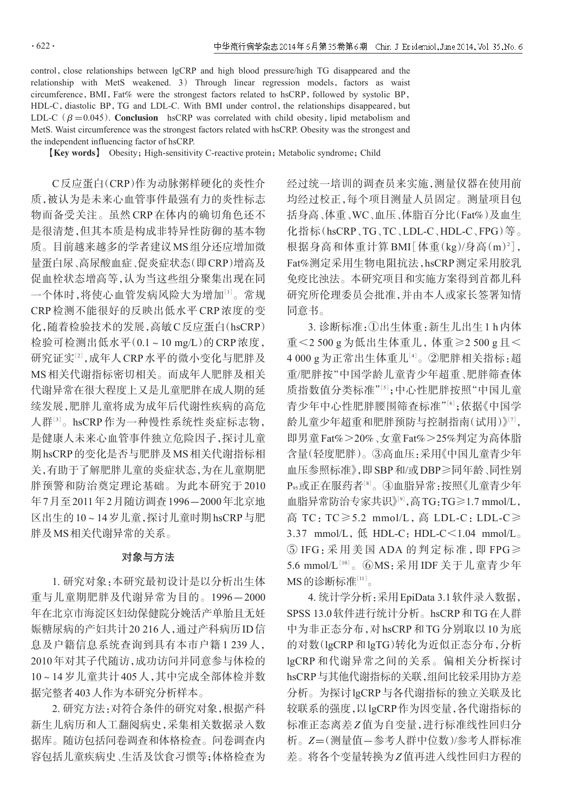control, close relationships between lgCRP and high blood pressure/high TG disappeared and the relationship with MetS weakened. 3) Through linear regression models, factors as waist circumference, BMI, Fat% were the strongest factors related to hsCRP, followed by systolic BP, HDL-C, diastolic BP, TG and LDL-C. With BMI under control, the relationships disappeared, but LDL-C ( $\beta$  =0.045). Conclusion hsCRP was correlated with child obesity, lipid metabolism and MetS. Waist circumference was the strongest factors related with hsCRP. Obesity was the strongest and the independent influencing factor of hsCRP.

[Key words] Obesity; High-sensitivity C-reactive protein; Metabolic syndrome; Child

C反应蛋白(CRP)作为动脉粥样硬化的炎性介 质,被认为是未来心血管事件最强有力的炎性标志 物而备受关注。虽然 CRP 在体内的确切角色还不 是很清楚,但其本质是构成非特异性防御的基本物 质。目前越来越多的学者建议MS组分还应增加微 量蛋白尿、高尿酸血症、促炎症状态(即CRP)增高及 促血栓状态增高等,认为当这些组分聚集出现在同 一个体时,将使心血管发病风险大为增加[<sup>1</sup>] 。常规 CRP 检测不能很好的反映出低水平 CRP 浓度的变 化,随着检验技术的发展,高敏C反应蛋白(hsCRP) 检验可检测出低水平(0.1~10 mg/L)的 CRP 浓度, 研究证实<sup>[2]</sup>,成年人CRP水平的微小变化与肥胖及 MS相关代谢指标密切相关。而成年人肥胖及相关 代谢异常在很大程度上又是儿童肥胖在成人期的延 续发展,肥胖儿童将成为成年后代谢性疾病的高危 人群:3]。hsCRP作为一种慢性系统性炎症标志物, 是健康人未来心血管事件独立危险因子,探讨儿童 期hsCRP的变化是否与肥胖及MS相关代谢指标相 关,有助于了解肥胖儿童的炎症状态,为在儿童期肥 胖预警和防治奠定理论基础。为此本研究于 2010 年7月至2011年2月随访调查1996-2000年北京地 区出生的10~14岁儿童,探讨儿童时期hsCRP与肥 胖及MS相关代谢异常的关系。

### 对象与方法

1. 研究对象:本研究最初设计是以分析出生体 重与儿童期肥胖及代谢异常为目的。1996-2000 年在北京市海淀区妇幼保健院分娩活产单胎且无妊 娠糖尿病的产妇共计20 216人,通过产科病历ID信 息及户籍信息系统查询到具有本市户籍 1 239 人, 2010年对其子代随访,成功访问并同意参与体检的 10~14岁儿童共计405人,其中完成全部体检并数 据完整者403人作为本研究分析样本。

2. 研究方法:对符合条件的研究对象,根据产科 新生儿病历和人工翻阅病史,采集相关数据录入数 据库。随访包括问卷调查和体格检查。问卷调查内 容包括儿童疾病史、生活及饮食习惯等;体格检查为 经过统一培训的调查员来实施,测量仪器在使用前 均经过校正,每个项目测量人员固定。测量项目包 括身高、体重、WC、血压、体脂百分比(Fat%)及血生 化指标(hsCRP、TG、TC、LDL-C、HDL-C、FPG)等。 根据身高和体重计算 BMI[体重(kg)/身高(m)2], Fat%测定采用生物电阻抗法,hsCRP测定采用胶乳 免疫比浊法。本研究项目和实施方案得到首都儿科 研究所伦理委员会批准,并由本人或家长签署知情 同意书。

3. 诊断标准:①出生体重:新生儿出生1 h内体 重<2 500 g 为低出生体重儿,体重≥2 500 g 且< 4 000 g为正常出生体重儿'4'。②肥胖相关指标:超 重/肥胖按"中国学龄儿童青少年超重、肥胖筛查体 质指数值分类标准"[5];中心性肥胖按照"中国儿童 青少年中心性肥胖腰围筛查标准"[<sup>6</sup>] ;依据《中国学 龄儿童少年超重和肥胖预防与控制指南(试用)》[7], 即男童Fat%>20%、女童Fat%>25%判定为高体脂 含量(轻度肥胖)。③高血压:采用《中国儿童青少年 血压参照标准》,即SBP和/或DBP≥同年龄、同性别 Ps:或正在服药者<sup>[8]</sup>。④血脂异常:按照《儿童青少年 血脂异常防治专家共识》[<sup>9</sup>] ,高TG:TG≥1.7 mmol/L, 高 TC:TC≥5.2 mmol/L,高 LDL-C:LDL-C≥ 3.37 mmol/L,  $M$  HDL-C: HDL-C $\leq$ 1.04 mmol/L.  $\mathcal{S}$  IFG: 采用美国 ADA 的判定标准, 即 FPG $\geq$  $5.6$  mmol/ $L^{[10]}$ 。⑥MS:采用 IDF 关于儿童青少年 MS的诊断标准[11]。

4. 统计学分析:采用EpiData 3.1软件录入数据, SPSS 13.0软件进行统计分析。hsCRP和TG在人群 中为非正态分布,对hsCRP和TG分别取以10为底 的对数(lgCRP和lgTG)转化为近似正态分布,分析 lgCRP 和代谢异常之间的关系。偏相关分析探讨 hsCRP与其他代谢指标的关联,组间比较采用协方差 分析。为探讨lgCRP与各代谢指标的独立关联及比 较联系的强度,以lgCRP作为因变量,各代谢指标的 标准正态离差Z值为自变量,进行标准线性回归分 析。Z=(测量值-参考人群中位数)/参考人群标准 差。将各个变量转换为Z值再进入线性回归方程的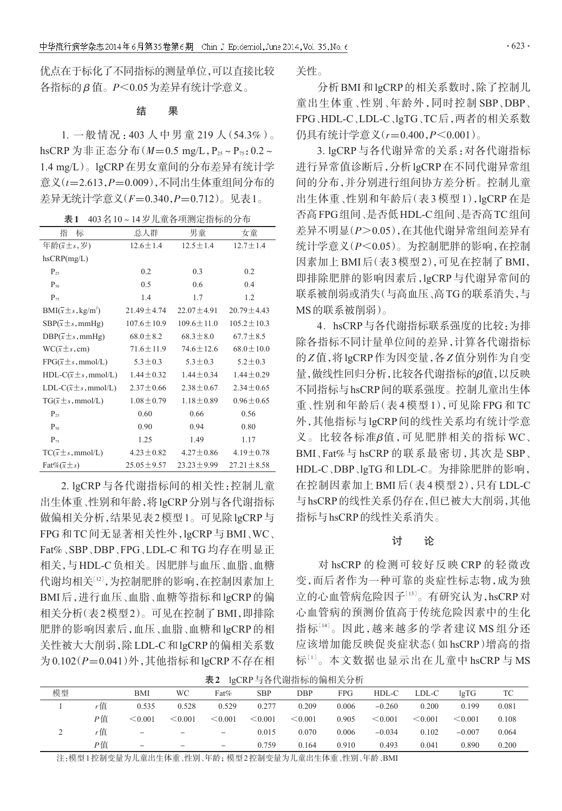优点在于标化了不同指标的测量单位,可以直接比较 各指标的 β 值。P<0.05为差异有统计学意义。

## 结 果

1. 一般情况:403 人中男童 219 人(54.3%)。 hsCRP 为非正态分布 $(M=0.5 \text{ mg/L}, P_{25} \sim P_{75}$ : 0.2~ 1.4 mg/L)。lgCRP在男女童间的分布差异有统计学 意义(t=2.613, P=0.009), 不同出生体重组间分布的 差异无统计学意义(F=0.340,P=0.712)。见表1。

|  | 表1 403名10~14岁儿童各项测定指标的分布 |
|--|--------------------------|
|  |                          |

| 指<br>标                                   | 总人群              | 男童               | 女童               |
|------------------------------------------|------------------|------------------|------------------|
| 年龄 $(\bar{x} \pm s, \bar{z})$            | $12.6 \pm 1.4$   | $12.5 \pm 1.4$   | $12.7 \pm 1.4$   |
| $h$ s $CRP(mg/L)$                        |                  |                  |                  |
| $P_{25}$                                 | 0.2              | 0.3              | 0.2              |
| $P_{50}$                                 | 0.5              | 0.6              | 0.4              |
| $P_{75}$                                 | 1.4              | 1.7              | 1.2              |
| $BMI(\bar{x} \pm s, kg/m^2)$             | $21.49 \pm 4.74$ | $22.07 \pm 4.91$ | $20.79 \pm 4.43$ |
| $SBP(\bar{x} \pm s, \text{mmHg})$        | $107.6 \pm 10.9$ | $109.6 \pm 11.0$ | $105.2 \pm 10.3$ |
| $DBP(\bar{x} \pm s, \text{mmHg})$        | $68.0 \pm 8.2$   | $68.3 \pm 8.0$   | $67.7 \pm 8.5$   |
| $WC(\bar{x} \pm s, cm)$                  | $71.6 \pm 11.9$  | $74.6 \pm 12.6$  | $68.0 \pm 10.0$  |
| $FPG(\overline{x} \pm s, \text{mmol/L})$ | $5.3 \pm 0.3$    | $5.3 \pm 0.3$    | $5.2 \pm 0.3$    |
| $HDL-C(\bar{x}\pm s,mmol/L)$             | $1.44 \pm 0.32$  | $1.44 \pm 0.34$  | $1.44 \pm 0.29$  |
| $LDL-C(\bar{x} \pm s, \text{mmol/L})$    | $2.37 \pm 0.66$  | $2.38 \pm 0.67$  | $2.34 \pm 0.65$  |
| $TG(\bar{x} \pm s, \text{mmol/L})$       | $1.08 \pm 0.79$  | $1.18 \pm 0.89$  | $0.96 \pm 0.65$  |
| $P_{25}$                                 | 0.60             | 0.66             | 0.56             |
| $P_{50}$                                 | 0.90             | 0.94             | 0.80             |
| $P_{75}$                                 | 1.25             | 1.49             | 1.17             |
| $TC(x \pm s, \text{mmol/L})$             | $4.23 \pm 0.82$  | $4.27 \pm 0.86$  | $4.19 \pm 0.78$  |
| $\text{Fat}\%(\overline{x} \pm s)$       | $25.05 \pm 9.57$ | $23.23 \pm 9.99$ | $27.21 \pm 8.58$ |

2. lgCRP 与各代谢指标间的相关性:控制儿童 出生体重、性别和年龄,将lgCRP分别与各代谢指标 做偏相关分析,结果见表2模型1。可见除lgCRP与 FPG 和 TC 间无显著相关性外,lgCRP 与 BMI、WC、 Fat%、SBP、DBP、FPG、LDL-C 和 TG 均存在明显正 相关,与HDL-C负相关。因肥胖与血压、血脂、血糖 代谢均相关[12],为控制肥胖的影响,在控制因素加上 BMI后,进行血压、血脂、血糖等指标和lgCRP的偏 相关分析(表2模型2)。可见在控制了BMI,即排除 肥胖的影响因素后,血压、血脂、血糖和lgCRP的相 关性被大大削弱,除LDL-C和lgCRP的偏相关系数 为0.102(P=0.041)外,其他指标和lgCRP不存在相 关性。

分析BMI和lgCRP的相关系数时,除了控制儿 童出生体重、性别、年龄外,同时控制 SBP、DBP、 FPG、HDL-C、LDL-C、lgTG、TC后,两者的相关系数 仍具有统计学意义(r=0.400,P<0.001)。

3. lgCRP 与各代谢异常的关系:对各代谢指标 进行异常值诊断后,分析lgCRP在不同代谢异常组 间的分布,并分别进行组间协方差分析。控制儿童 出生体重、性别和年龄后(表 3 模型 1),lgCRP 在是 否高FPG组间、是否低HDL-C组间、是否高TC组间 差异不明显(P>0.05),在其他代谢异常组间差异有 统计学意义(P<0.05)。为控制肥胖的影响,在控制 因素加上BMI后(表3模型2),可见在控制了BMI, 即排除肥胖的影响因素后,lgCRP 与代谢异常间的 联系被削弱或消失(与高血压、高TG的联系消失,与 MS的联系被削弱)。

4.hsCRP与各代谢指标联系强度的比较:为排 除各指标不同计量单位间的差异,计算各代谢指标 的Z值,将lgCRP作为因变量,各Z值分别作为自变 量,做线性回归分析,比较各代谢指标的β值,以反映 不同指标与hsCRP间的联系强度。控制儿童出生体 重、性别和年龄后(表 4 模型 1),可见除 FPG 和 TC 外,其他指标与lgCRP间的线性关系均有统计学意 义。比较各标准β值,可见肥胖相关的指标 WC、 BMI、Fat%与 hsCRP 的联系最密切,其次是 SBP、 HDL-C、DBP、lgTG和LDL-C。为排除肥胖的影响, 在控制因素加上 BMI 后(表 4 模型 2),只有 LDL-C 与hsCRP的线性关系仍存在,但已被大大削弱,其他 指标与hsCRP的线性关系消失。

#### 讨 论

对 hsCRP 的检测可较好反映 CRP 的轻微改 变,而后者作为一种可靠的炎症性标志物,成为独 立的心血管病危险因子[13]。有研究认为,hsCRP对 心血管病的预测价值高于传统危险因素中的生化 指标[<sup>14</sup>] 。因此,越来越多的学者建议 MS 组分还 应该增加能反映促炎症状态(如 hsCRP)增高的指 标[1]。本文数据也显示出在儿童中 hsCRP 与 MS

表2 lgCRP与各代谢指标的偏相关分析

| 模型 |    | BMI                      | WC                       | Fat%              | <b>SBP</b>   | DBP          | FPG.  | HDL-C        | LDL-C   | lgTG     | TC    |
|----|----|--------------------------|--------------------------|-------------------|--------------|--------------|-------|--------------|---------|----------|-------|
|    | r值 | 0.535                    | 0.528                    | 0.529             | 0.277        | 0.209        | 0.006 | $-0.260$     | 0.200   | 0.199    | 0.081 |
|    | Р值 | < 0.001                  | $\leq 0.001$             | $\leq 0.001$      | $\leq 0.001$ | $\leq 0.001$ | 0.905 | $\leq 0.001$ | < 0.001 | < 0.001  | 0.108 |
|    | r值 | $\qquad \qquad -$        | $\overline{\phantom{0}}$ | $\qquad \qquad -$ | 0.015        | 0.070        | 0.006 | $-0.034$     | 0.102   | $-0.007$ | 0.064 |
|    | Р值 | $\overline{\phantom{a}}$ | $\overline{\phantom{0}}$ | $\qquad \qquad -$ | 0.759        | 0.164        | 0.910 | 0.493        | 0.041   | 0.890    | 0.200 |

注:模型1控制变量为儿童出生体重、性别、年龄;模型2控制变量为儿童出生体重、性别、年龄、BMI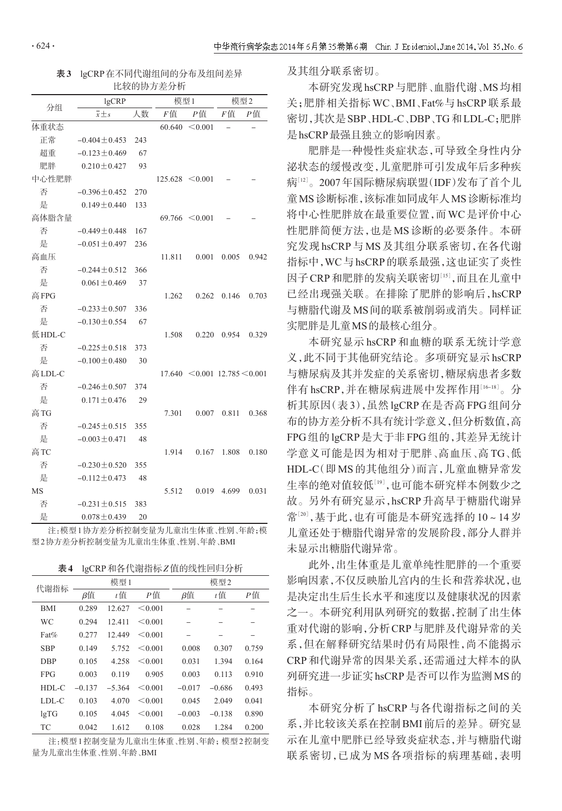| 表3 lgCRP在不同代谢组间的分布及组间差异 |
|-------------------------|
| 电捻的插音差公析                |

|         |                    |     | 比较的协方差分析 |                                       |       |       |
|---------|--------------------|-----|----------|---------------------------------------|-------|-------|
| 分组      | lgCRP              | 模型1 |          | 模型2                                   |       |       |
|         | $\bar{x} \pm s$    | 人数  | F值       | P值                                    | F值    | P值    |
| 体重状态    |                    |     | 60.640   | < 0.001                               |       |       |
| 正常      | $-0.404 \pm 0.453$ | 243 |          |                                       |       |       |
| 超重      | $-0.123 \pm 0.469$ | 67  |          |                                       |       |       |
| 肥胖      | $0.210 \pm 0.427$  | 93  |          |                                       |       |       |
| 中心性肥胖   |                    |     |          | $125.628 \le 0.001$                   |       |       |
| 否       | $-0.396 \pm 0.452$ | 270 |          |                                       |       |       |
| 是       | $0.149 \pm 0.440$  | 133 |          |                                       |       |       |
| 高体脂含量   |                    |     |          | $69.766 \le 0.001$                    |       |       |
| 否       | $-0.449 \pm 0.448$ | 167 |          |                                       |       |       |
| 是       | $-0.051 \pm 0.497$ | 236 |          |                                       |       |       |
| 高血压     |                    |     | 11.811   | 0.001                                 | 0.005 | 0.942 |
| 否       | $-0.244 \pm 0.512$ | 366 |          |                                       |       |       |
| 是       | $0.061 \pm 0.469$  | 37  |          |                                       |       |       |
| 高FPG    |                    |     | 1.262    | 0.262                                 | 0.146 | 0.703 |
| 否       | $-0.233 \pm 0.507$ | 336 |          |                                       |       |       |
| 是       | $-0.130 \pm 0.554$ | 67  |          |                                       |       |       |
| 低HDL-C  |                    |     | 1.508    | 0.220                                 | 0.954 | 0.329 |
| 否       | $-0.225 \pm 0.518$ | 373 |          |                                       |       |       |
| 是       | $-0.100 \pm 0.480$ | 30  |          |                                       |       |       |
| 高 LDL-C |                    |     |          | $17.640 \le 0.001$ $12.785 \le 0.001$ |       |       |
| 否       | $-0.246 \pm 0.507$ | 374 |          |                                       |       |       |
| 是       | $0.171 \pm 0.476$  | 29  |          |                                       |       |       |
| 高TG     |                    |     | 7.301    | 0.007                                 | 0.811 | 0.368 |
| 否       | $-0.245 \pm 0.515$ | 355 |          |                                       |       |       |
| 是       | $-0.003 \pm 0.471$ | 48  |          |                                       |       |       |
| 高TC     |                    |     | 1.914    | 0.167                                 | 1.808 | 0.180 |
| 否       | $-0.230 \pm 0.520$ | 355 |          |                                       |       |       |
| 是       | $-0.112 \pm 0.473$ | 48  |          |                                       |       |       |
| MS      |                    |     | 5.512    | 0.019                                 | 4.699 | 0.031 |
| 否       | $-0.231 \pm 0.515$ | 383 |          |                                       |       |       |
| 是       | $0.078 \pm 0.439$  | 20  |          |                                       |       |       |

注:模型1协方差分析控制变量为儿童出生体重、性别、年龄;模 型2协方差分析控制变量为儿童出生体重、性别、年龄、BMI

| 表 4 | lgCRP和各代谢指标Z值的线性回归分析 |
|-----|----------------------|
|-----|----------------------|

| 代谢指标       |          | 模型1      |         | 模型2       |          |       |  |
|------------|----------|----------|---------|-----------|----------|-------|--|
|            | β值       | $t$ 值    | P值      | $\beta$ 值 | $t$ 值    | Р值    |  |
| <b>BMI</b> | 0.289    | 12.627   | < 0.001 |           |          |       |  |
| WC         | 0.294    | 12.411   | < 0.001 |           |          |       |  |
| Fat%       | 0.277    | 12.449   | < 0.001 |           |          | -     |  |
| <b>SBP</b> | 0.149    | 5.752    | < 0.001 | 0.008     | 0.307    | 0.759 |  |
| <b>DBP</b> | 0.105    | 4.258    | < 0.001 | 0.031     | 1.394    | 0.164 |  |
| <b>FPG</b> | 0.003    | 0.119    | 0.905   | 0.003     | 0.113    | 0.910 |  |
| $HDL-C$    | $-0.137$ | $-5.364$ | < 0.001 | $-0.017$  | $-0.686$ | 0.493 |  |
| $LDL-C$    | 0.103    | 4.070    | < 0.001 | 0.045     | 2.049    | 0.041 |  |
| lgTG       | 0.105    | 4.045    | < 0.001 | $-0.003$  | $-0.138$ | 0.890 |  |
| <b>TC</b>  | 0.042    | 1.612    | 0.108   | 0.028     | 1.284    | 0.200 |  |

注:模型1控制变量为儿童出生体重、性别、年龄;模型2控制变 量为儿童出生体重、性别、年龄、BMI

及其组分联系密切。

本研究发现hsCRP与肥胖、血脂代谢、MS均相 关;肥胖相关指标 WC、BMI、Fat%与 hsCRP 联系最 密切,其次是SBP、HDL-C、DBP、TG和LDL-C;肥胖 是hsCRP最强且独立的影响因素。

肥胖是一种慢性炎症状态,可导致全身性内分 泌状态的缓慢改变,儿童肥胖可引发成年后多种疾 病''<sup>2」</sup>。2007年国际糖尿病联盟(IDF)发布了首个儿 童MS诊断标准,该标准如同成年人MS诊断标准均 将中心性肥胖放在最重要位置,而WC是评价中心 性肥胖简便方法,也是 MS 诊断的必要条件。本研 究发现 hsCRP 与 MS 及其组分联系密切,在各代谢 指标中,WC与hsCRP的联系最强,这也证实了炎性 因子 CRP 和肥胖的发病关联密切[15],而且在儿童中 已经出现强关联。在排除了肥胖的影响后,hsCRP 与糖脂代谢及MS间的联系被削弱或消失。同样证 实肥胖是儿童MS的最核心组分。

本研究显示 hsCRP 和血糖的联系无统计学意 义,此不同于其他研究结论。多项研究显示hsCRP 与糖尿病及其并发症的关系密切,糖尿病患者多数 伴有 hsCRP,并在糖尿病进展中发挥作用[16-18]。分 析其原因(表 3),虽然 lgCRP 在是否高 FPG 组间分 布的协方差分析不具有统计学意义,但分析数值,高 FPG组的lgCRP是大于非FPG组的,其差异无统计 学意义可能是因为相对于肥胖、高血压、高 TG、低 HDL-C(即 MS 的其他组分)而言,儿童血糖异常发 生率的绝对值较低[<sup>19</sup>] ,也可能本研究样本例数少之 故。另外有研究显示,hsCRP升高早于糖脂代谢异 常[20],基于此,也有可能是本研究选择的10~14岁 儿童还处于糖脂代谢异常的发展阶段,部分人群并 未显示出糖脂代谢异常。

此外,出生体重是儿童单纯性肥胖的一个重要 影响因素,不仅反映胎儿宫内的生长和营养状况,也 是决定出生后生长水平和速度以及健康状况的因素 之一。本研究利用队列研究的数据,控制了出生体 重对代谢的影响,分析CRP与肥胖及代谢异常的关 系,但在解释研究结果时仍有局限性,尚不能揭示 CRP和代谢异常的因果关系,还需通过大样本的队 列研究进一步证实hsCRP是否可以作为监测MS的 指标。

本研究分析了 hsCRP 与各代谢指标之间的关 系,并比较该关系在控制BMI前后的差异。研究显 示在儿童中肥胖已经导致炎症状态,并与糖脂代谢 联系密切,已成为 MS 各项指标的病理基础,表明